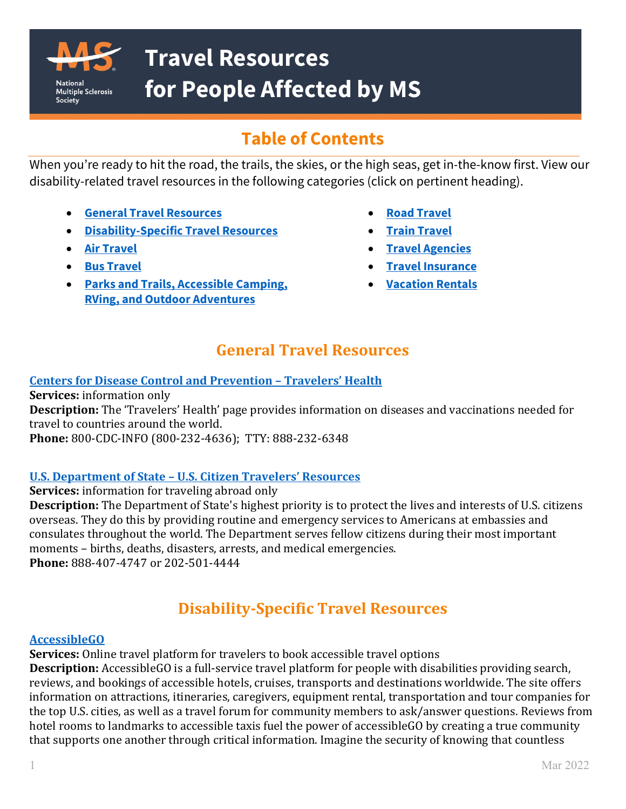

# **Table of Contents**

When you're ready to hit the road, the trails, the skies, or the high seas, get in-the-know first. View our disability-related travel resources in the following categories (click on pertinent heading).

- **[General Travel Resources](#page-0-0)**
- **[Disability-Specific Travel Resources](#page-0-1)**

- **[Air Travel](#page-1-0)**
- **[Bus Travel](#page-3-0)**
- **[Parks and Trails, Accessible Camping,](#page-3-1)  [RVing, and Outdoor Adventures](#page-3-1)**
- **[Road Travel](#page-4-0)**
- **[Train Travel](#page-5-0)**
- **[Travel Agencies](#page-5-1)**
- **[Travel Insurance](#page-6-0)**
- **[Vacation Rentals](#page-6-1)**

## **General Travel Resources**

## <span id="page-0-0"></span>**[Centers for Disease Control and Prevention –](https://wwwnc.cdc.gov/travel) Travelers' Health**

**Services:** information only **Description:** The 'Travelers' Health' page provides information on diseases and vaccinations needed for travel to countries around the world. **Phone:** 800-CDC-INFO (800-232-4636); TTY: 888-232-6348

## **U.S. Department of State – [U.S. Citizen Travelers' Resources](https://travel.state.gov/content/travel/en/international-travel/before-you-go/travelers-checklist.html)**

**Services:** information for traveling abroad only **Description:** The Department of State's highest priority is to protect the lives and interests of U.S. citizens overseas. They do this by providing routine and emergency services to Americans at embassies and consulates throughout the world. The Department serves fellow citizens during their most important moments – births, deaths, disasters, arrests, and medical emergencies. **Phone:** 888-407-4747 or 202-501-4444

# **Disability-Specific Travel Resources**

## <span id="page-0-1"></span>**[AccessibleGO](https://accessiblego.com/home)**

**Services:** Online travel platform for travelers to book accessible travel options

**Description:** AccessibleGO is a full-service travel platform for people with disabilities providing search, reviews, and bookings of accessible hotels, cruises, transports and destinations worldwide. The site offers information on attractions, itineraries, caregivers, equipment rental, transportation and tour companies for the top U.S. cities, as well as a travel forum for community members to ask/answer questions. Reviews from hotel rooms to landmarks to accessible taxis fuel the power of accessibleGO by creating a true community that supports one another through critical information. Imagine the security of knowing that countless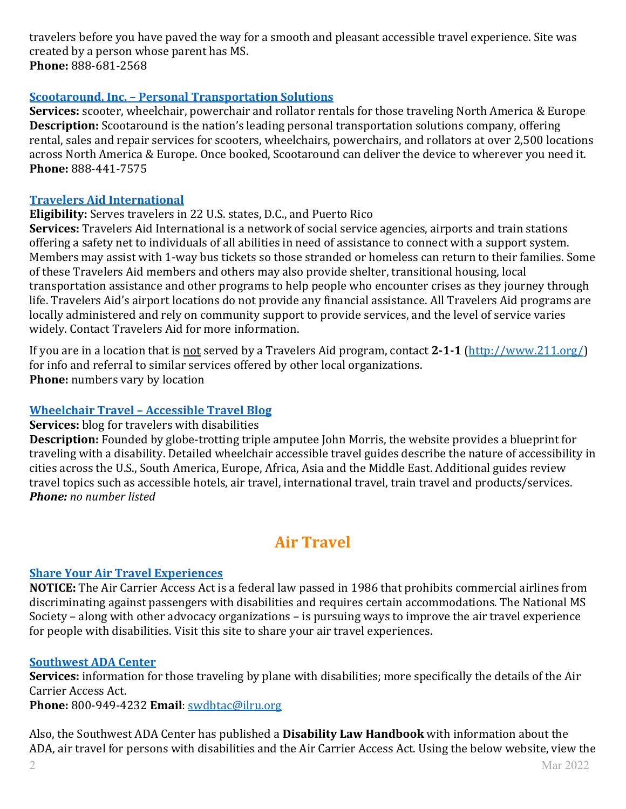travelers before you have paved the way for a smooth and pleasant accessible travel experience. Site was created by a person whose parent has MS. **Phone:** 888-681-2568

#### **Scootaround, Inc. – [Personal Transportation Solutions](https://www.scootaround.com/mobility-rentals)**

**Services:** scooter, wheelchair, powerchair and rollator rentals for those traveling North America & Europe **Description:** Scootaround is the nation's leading personal transportation solutions company, offering rental, sales and repair services for scooters, wheelchairs, powerchairs, and rollators at over 2,500 locations across North America & Europe. Once booked, Scootaround can deliver the device to wherever you need it. **Phone:** 888-441-7575

#### **[Travelers Aid International](https://www.travelersaid.org/)**

#### **Eligibility:** Serves travelers in 22 U.S. states, D.C., and Puerto Rico

**Services:** Travelers Aid International is a network of social service agencies, airports and train stations offering a safety net to individuals of all abilities in need of assistance to connect with a support system. Members may assist with 1-way bus tickets so those stranded or homeless can return to their families. Some of these Travelers Aid members and others may also provide shelter, transitional housing, local transportation assistance and other programs to help people who encounter crises as they journey through life. Travelers Aid's airport locations do not provide any financial assistance. All Travelers Aid programs are locally administered and rely on community support to provide services, and the level of service varies widely. Contact Travelers Aid for more information.

If you are in a location that is not served by a Travelers Aid program, contact **2-1-1** [\(http://www.211.org/\)](http://www.211.org/) for info and referral to similar services offered by other local organizations. **Phone:** numbers vary by location

## **Wheelchair Travel – [Accessible Travel Blog](https://wheelchairtravel.org/)**

#### **Services:** blog for travelers with disabilities

**Description:** Founded by globe-trotting triple amputee John Morris, the website provides a blueprint for traveling with a disability. Detailed wheelchair accessible travel guides describe the nature of accessibility in cities across the U.S., South America, Europe, Africa, Asia and the Middle East. Additional guides review travel topics such as accessible hotels, air travel, international travel, train travel and products/services. *Phone: no number listed*

# **Air Travel**

## <span id="page-1-0"></span>**[Share Your Air Travel Experiences](http://www.airaccess30.org/)**

**NOTICE:** The Air Carrier Access Act is a federal law passed in 1986 that prohibits commercial airlines from discriminating against passengers with disabilities and requires certain accommodations. The National MS Society – along with other advocacy organizations – is pursuing ways to improve the air travel experience for people with disabilities. Visit this site to share your air travel experiences.

## **[Southwest ADA Center](http://southwestada.org/html/topical/aircarrier/index.html)**

**Services:** information for those traveling by plane with disabilities; more specifically the details of the Air Carrier Access Act.

**Phone:** 800-949-4232 **Email**: [swdbtac@ilru.org](mailto:swdbtac@ilru.org)

Also, the Southwest ADA Center has published a **Disability Law Handbook** with information about the ADA, air travel for persons with disabilities and the Air Carrier Access Act. Using the below website, view the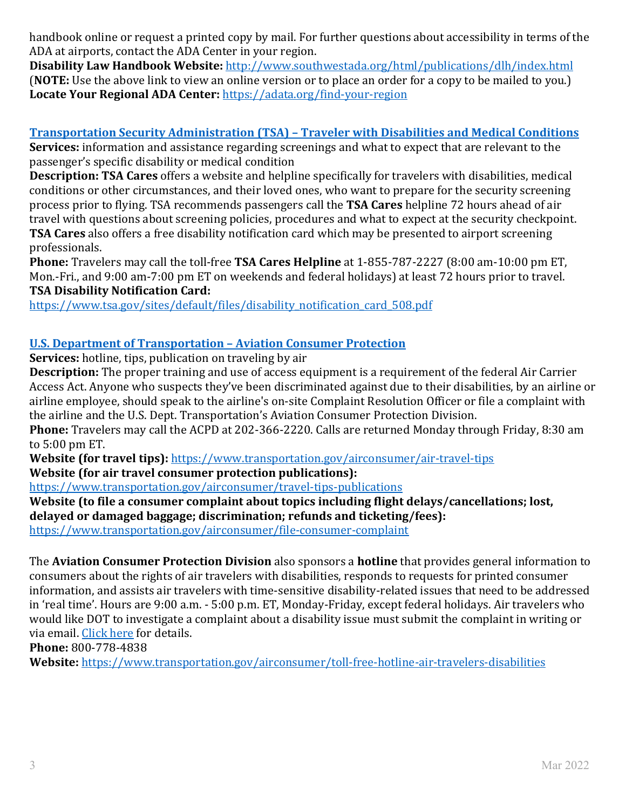handbook online or request a printed copy by mail. For further questions about accessibility in terms of the ADA at airports, contact the ADA Center in your region.

**Disability Law Handbook Website:** <http://www.southwestada.org/html/publications/dlh/index.html> (**NOTE:** Use the above link to view an online version or to place an order for a copy to be mailed to you.) **Locate Your Regional ADA Center:** <https://adata.org/find-your-region>

**Transportation Security Administration (TSA) – [Traveler with Disabilities and Medical Conditions](https://www.tsa.gov/travel/special-procedures) Services:** information and assistance regarding screenings and what to expect that are relevant to the

passenger's specific disability or medical condition

**Description: TSA Cares** offers a website and helpline specifically for travelers with disabilities, medical conditions or other circumstances, and their loved ones, who want to prepare for the security screening process prior to flying. TSA recommends passengers call the **TSA Cares** helpline 72 hours ahead of air travel with questions about screening policies, procedures and what to expect at the security checkpoint. **TSA Cares** also offers a free disability notification card which may be presented to airport screening professionals.

**Phone:** Travelers may call the toll-free **TSA Cares Helpline** at 1-855-787-2227 (8:00 am-10:00 pm ET, Mon.-Fri., and 9:00 am-7:00 pm ET on weekends and federal holidays) at least 72 hours prior to travel. **TSA Disability Notification Card:** 

[https://www.tsa.gov/sites/default/files/disability\\_notification\\_card\\_508.pdf](https://www.tsa.gov/sites/default/files/disability_notification_card_508.pdf)

## **[U.S. Department of Transportation –](https://www.transportation.gov/airconsumer/passengers-disabilities) Aviation Consumer Protection**

**Services:** hotline, tips, publication on traveling by air

**Description:** The proper training and use of access equipment is a requirement of the federal Air Carrier Access Act. Anyone who suspects they've been discriminated against due to their disabilities, by an airline or airline employee, should speak to the airline's on-site Complaint Resolution Officer or file a complaint with the airline and the U.S. Dept. Transportation's Aviation Consumer Protection Division.

**Phone:** Travelers may call the ACPD at 202-366-2220. Calls are returned Monday through Friday, 8:30 am to 5:00 pm ET.

**Website (for travel tips):** <https://www.transportation.gov/airconsumer/air-travel-tips> **Website (for air travel consumer protection publications):** 

<https://www.transportation.gov/airconsumer/travel-tips-publications> **Website (to file a consumer complaint about topics including flight delays/cancellations; lost, delayed or damaged baggage; discrimination; refunds and ticketing/fees):**

<https://www.transportation.gov/airconsumer/file-consumer-complaint>

The **Aviation Consumer Protection Division** also sponsors a **hotline** that provides general information to consumers about the rights of air travelers with disabilities, responds to requests for printed consumer information, and assists air travelers with time-sensitive disability-related issues that need to be addressed in 'real time'. Hours are 9:00 a.m. - 5:00 p.m. ET, Monday-Friday, except federal holidays. Air travelers who would like DOT to investigate a complaint about a disability issue must submit the complaint in writing or via email. [Click here](https://www.transportation.gov/airconsumer/complaints-alleging-discriminatory-treatment-against-disabled-travelers) for details.

**Phone:** 800-778-4838

**Website:** <https://www.transportation.gov/airconsumer/toll-free-hotline-air-travelers-disabilities>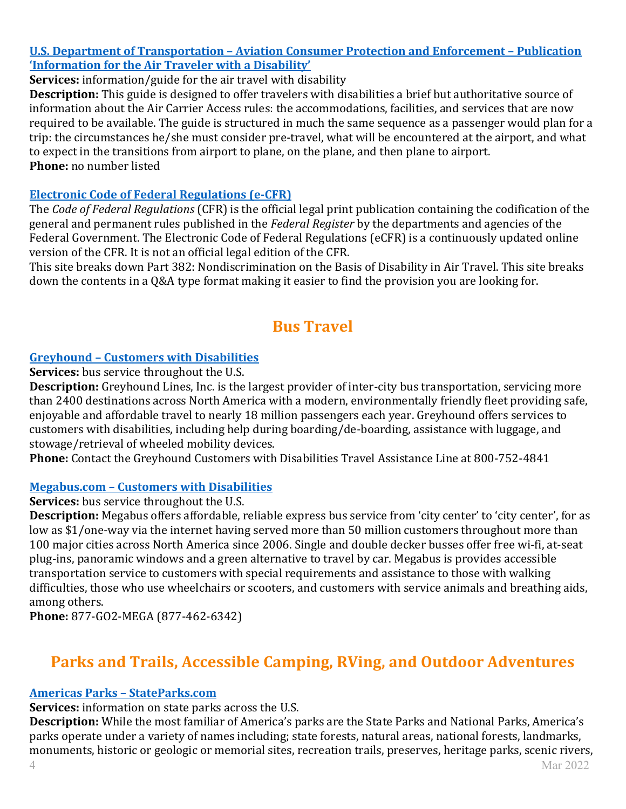#### **U.S. Department of Transportation – [Aviation Consumer Protection and Enforcement –](https://www.transportation.gov/airconsumer/new-horizons-information-air-traveler-disability) Publication ['Information for the Air Traveler with a Disability'](https://www.transportation.gov/airconsumer/new-horizons-information-air-traveler-disability)**

**Services:** information/guide for the air travel with disability

**Description:** This guide is designed to offer travelers with disabilities a brief but authoritative source of information about the Air Carrier Access rules: the accommodations, facilities, and services that are now required to be available. The guide is structured in much the same sequence as a passenger would plan for a trip: the circumstances he/she must consider pre-travel, what will be encountered at the airport, and what to expect in the transitions from airport to plane, on the plane, and then plane to airport. **Phone:** no number listed

#### **[Electronic Code of Federal Regulations \(e-CFR\)](https://www.ecfr.gov/cgi-bin/text-idx?SID=ae47679a5dc0b0cdd685abc7e3437dbb&mc=true&node=pt14.4.382&rgn=div5#_top)**

The *Code of Federal Regulations* (CFR) is the official legal print publication containing the codification of the general and permanent rules published in the *Federal Register* by the departments and agencies of the Federal Government. The Electronic Code of Federal Regulations (eCFR) is a continuously updated online version of the CFR. It is not an official legal edition of the CFR.

This site breaks down Part 382: Nondiscrimination on the Basis of Disability in Air Travel. This site breaks down the contents in a Q&A type format making it easier to find the provision you are looking for.

## **Bus Travel**

## <span id="page-3-0"></span>**Greyhound – [Customers with Disabilities](https://www.greyhound.com/en/help-and-info/travel-info/customers-with-disabilities)**

**Services:** bus service throughout the U.S.

**Description:** Greyhound Lines, Inc. is the largest provider of inter-city bus transportation, servicing more than 2400 destinations across North America with a modern, environmentally friendly fleet providing safe, enjoyable and affordable travel to nearly 18 million passengers each year. Greyhound offers services to customers with disabilities, including help during boarding/de-boarding, assistance with luggage, and stowage/retrieval of wheeled mobility devices.

**Phone:** Contact the Greyhound Customers with Disabilities Travel Assistance Line at 800-752-4841

#### **Megabus.com – [Customers with Disabilities](https://us.megabus.com/passengers-with-disabilities)**

**Services:** bus service throughout the U.S.

**Description:** Megabus offers affordable, reliable express bus service from 'city center' to 'city center', for as low as \$1/one-way via the internet having served more than 50 million customers throughout more than 100 major cities across North America since 2006. Single and double decker busses offer free wi-fi, at-seat plug-ins, panoramic windows and a green alternative to travel by car. Megabus is provides accessible transportation service to customers with special requirements and assistance to those with walking difficulties, those who use wheelchairs or scooters, and customers with service animals and breathing aids, among others.

**Phone:** 877-GO2-MEGA (877-462-6342)

## <span id="page-3-1"></span>**Parks and Trails, Accessible Camping, RVing, and Outdoor Adventures**

## **[Americas Parks –](https://www.stateparks.com/) StateParks.com**

**Services:** information on state parks across the U.S.

**Description:** While the most familiar of America's parks are the State Parks and National Parks, America's parks operate under a variety of names including; state forests, natural areas, national forests, landmarks, monuments, historic or geologic or memorial sites, recreation trails, preserves, heritage parks, scenic rivers,<br>4 Mar 2022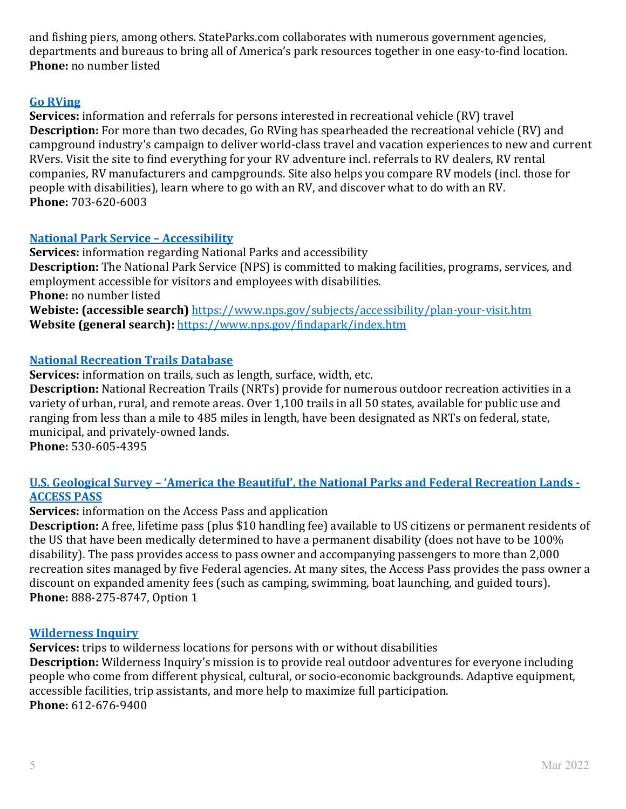and fishing piers, among others. StateParks.com collaborates with numerous government agencies, departments and bureaus to bring all of America's park resources together in one easy-to-find location. **Phone:** no number listed

#### **[Go RVing](https://gorving.com/)**

**Services:** information and referrals for persons interested in recreational vehicle (RV) travel **Description:** For more than two decades, Go RVing has spearheaded the recreational vehicle (RV) and campground industry's campaign to deliver world-class travel and vacation experiences to new and current RVers. Visit the site to find everything for your RV adventure incl. referrals to RV dealers, RV rental companies, RV manufacturers and campgrounds. Site also helps you compare RV models (incl. those for people with disabilities), learn where to go with an RV, and discover what to do with an RV. **Phone:** 703-620-6003

#### **[National Park Service –](https://www.nps.gov/aboutus/accessibility.htm) Accessibility**

**Services:** information regarding National Parks and accessibility **Description:** The National Park Service (NPS) is committed to making facilities, programs, services, and employment accessible for visitors and employees with disabilities. **Phone:** no number listed **Webiste: (accessible search)** <https://www.nps.gov/subjects/accessibility/plan-your-visit.htm> **Website (general search):** <https://www.nps.gov/findapark/index.htm>

#### **[National Recreation Trails Database](https://nrtdatabase.org/)**

**Services:** information on trails, such as length, surface, width, etc.

**Description:** National Recreation Trails (NRTs) provide for numerous outdoor recreation activities in a variety of urban, rural, and remote areas. Over 1,100 trails in all 50 states, available for public use and ranging from less than a mile to 485 miles in length, have been designated as NRTs on federal, state, municipal, and privately-owned lands.

**Phone:** 530-605-4395

#### **U.S. Geological Survey – ['America the Beautiful', the National Parks and Federal Recreation Lands -](https://store.usgs.gov/access-pass) [ACCESS PASS](https://store.usgs.gov/access-pass)**

**Services:** information on the Access Pass and application

**Description:** A free, lifetime pass (plus \$10 handling fee) available to US citizens or permanent residents of the US that have been medically determined to have a permanent disability (does not have to be 100% disability). The pass provides access to pass owner and accompanying passengers to more than 2,000 recreation sites managed by five Federal agencies. At many sites, the Access Pass provides the pass owner a discount on expanded amenity fees (such as camping, swimming, boat launching, and guided tours). **Phone:** 888-275-8747, Option 1

#### **[Wilderness Inquiry](https://www.wildernessinquiry.org/)**

<span id="page-4-0"></span>**Services:** trips to wilderness locations for persons with or without disabilities **Description:** Wilderness Inquiry's mission is to provide real outdoor adventures for everyone including people who come from different physical, cultural, or socio-economic backgrounds. Adaptive equipment, accessible facilities, trip assistants, and more help to maximize full participation. **Phone:** 612-676-9400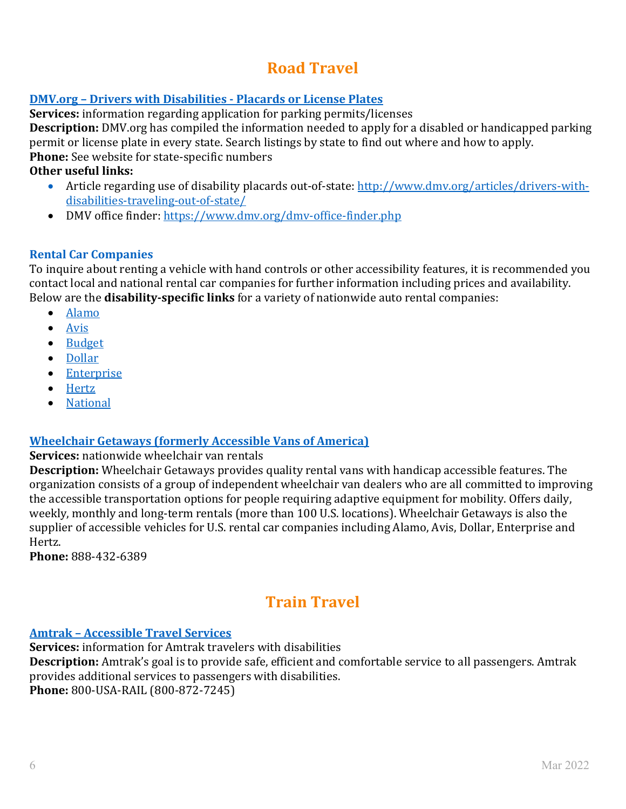# **Road Travel**

## **DMV.org – Drivers with Disabilities - [Placards or License Plates](http://www.dmv.org/disabled-drivers.php)**

**Services:** information regarding application for parking permits/licenses

**Description:** DMV.org has compiled the information needed to apply for a disabled or handicapped parking permit or license plate in every state. Search listings by state to find out where and how to apply. **Phone:** See website for state-specific numbers

#### **Other useful links:**

- Article regarding use of disability placards out-of-state: [http://www.dmv.org/articles/drivers-with](http://www.dmv.org/articles/drivers-with-disabilities-traveling-out-of-state/)[disabilities-traveling-out-of-state/](http://www.dmv.org/articles/drivers-with-disabilities-traveling-out-of-state/)
- DMV office finder:<https://www.dmv.org/dmv-office-finder.php>

#### **Rental Car Companies**

To inquire about renting a vehicle with hand controls or other accessibility features, it is recommended you contact local and national rental car companies for further information including prices and availability. Below are the **disability-specific links** for a variety of nationwide auto rental companies:

- [Alamo](https://www.alamo.com/en_US/car-rental/customers-with-disabilities.html)
- [Avis](https://www.avis.com/en/customer-service/disability-services)
- [Budget](https://www.budget.com/en/customer-care/disability-services)
- [Dollar](https://www.dollar.com/TravelCenter/TravelTools/Customers_With_Disabilities.aspx)
- [Enterprise](https://www.enterprise.com/en/help/customers-with-disabilities.html?icid=footer.customer.service-_-disabilities-_-ENUS.NULL)
- [Hertz](https://www.hertz.com/rentacar/productservice/index.jsp?targetPage=PhysicallyChallengedUS.jsp)
- [National](https://www.nationalcar.com/en_US/car-rental/customers-disabilities.html)

## **[Wheelchair Getaways \(formerly Accessible Vans of America\)](https://www.accessiblevans.com/about-us)**

#### **Services:** nationwide wheelchair van rentals

**Description:** Wheelchair Getaways provides quality rental vans with handicap accessible features. The organization consists of a group of independent wheelchair van dealers who are all committed to improving the accessible transportation options for people requiring adaptive equipment for mobility. Offers daily, weekly, monthly and long-term rentals (more than 100 U.S. locations). Wheelchair Getaways is also the supplier of accessible vehicles for U.S. rental car companies including Alamo, Avis, Dollar, Enterprise and Hertz.

**Phone:** 888-432-6389

# **Train Travel**

#### <span id="page-5-0"></span>**Amtrak – [Accessible Travel Services](https://www.amtrak.com/accessible-travel-services)**

<span id="page-5-1"></span>**Services:** information for Amtrak travelers with disabilities **Description:** Amtrak's goal is to provide safe, efficient and comfortable service to all passengers. Amtrak provides additional services to passengers with disabilities. **Phone:** 800-USA-RAIL (800-872-7245)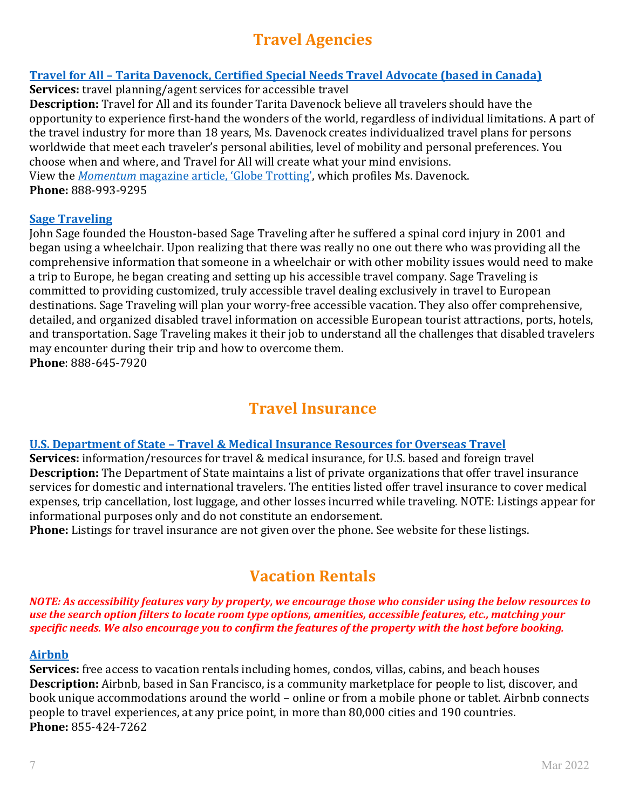# **Travel Agencies**

## **Travel for All – [Tarita Davenock, Certified Special Needs Travel Advocate \(based in Canada\)](https://travel-for-all.com/)**

**Services:** travel planning/agent services for accessible travel

**Description:** Travel for All and its founder Tarita Davenock believe all travelers should have the opportunity to experience first-hand the wonders of the world, regardless of individual limitations. A part of the travel industry for more than 18 years, Ms. Davenock creates individualized travel plans for persons worldwide that meet each traveler's personal abilities, level of mobility and personal preferences. You choose when and where, and Travel for All will create what your mind envisions. View the *Momentum* [magazine article, 'Globe Trotting',](http://www.momentummagazineonline.com/traveling-with-ms/) which profiles Ms. Davenock. **Phone:** 888-993-9295

#### **[Sage Traveling](https://www.sagetraveling.com/accessible-trip-planning)**

John Sage founded the Houston-based Sage Traveling after he suffered a spinal cord injury in 2001 and began using a wheelchair. Upon realizing that there was really no one out there who was providing all the comprehensive information that someone in a wheelchair or with other mobility issues would need to make a trip to Europe, he began creating and setting up his accessible travel company. Sage Traveling is committed to providing customized, truly accessible travel dealing exclusively in travel to European destinations. Sage Traveling will plan your worry-free accessible vacation. They also offer comprehensive, detailed, and organized disabled travel information on accessible European tourist attractions, ports, hotels, and transportation. Sage Traveling makes it their job to understand all the challenges that disabled travelers may encounter during their trip and how to overcome them. **Phone**: 888-645-7920

## **Travel Insurance**

#### <span id="page-6-0"></span>**U.S. Department of State – [Travel & Medical Insurance Resources for Overseas Travel](https://travel.state.gov/content/travel/en/international-travel/before-you-go/your-health-abroad/insurance-providers-overseas.html)**

**Services:** information/resources for travel & medical insurance, for U.S. based and foreign travel **Description:** The Department of State maintains a list of private organizations that offer travel insurance services for domestic and international travelers. The entities listed offer travel insurance to cover medical expenses, trip cancellation, lost luggage, and other losses incurred while traveling. NOTE: Listings appear for informational purposes only and do not constitute an endorsement.

**Phone:** Listings for travel insurance are not given over the phone. See website for these listings.

## **Vacation Rentals**

<span id="page-6-1"></span>*NOTE: As accessibility features vary by property, we encourage those who consider using the below resources to use the search option filters to locate room type options, amenities, accessible features, etc., matching your specific needs. We also encourage you to confirm the features of the property with the host before booking.*

#### **[Airbnb](https://www.airbnb.com/)**

**Services:** free access to vacation rentals including homes, condos, villas, cabins, and beach houses **Description:** Airbnb, based in San Francisco, is a community marketplace for people to list, discover, and book unique accommodations around the world – online or from a mobile phone or tablet. Airbnb connects people to travel experiences, at any price point, in more than 80,000 cities and 190 countries. **Phone:** 855-424-7262